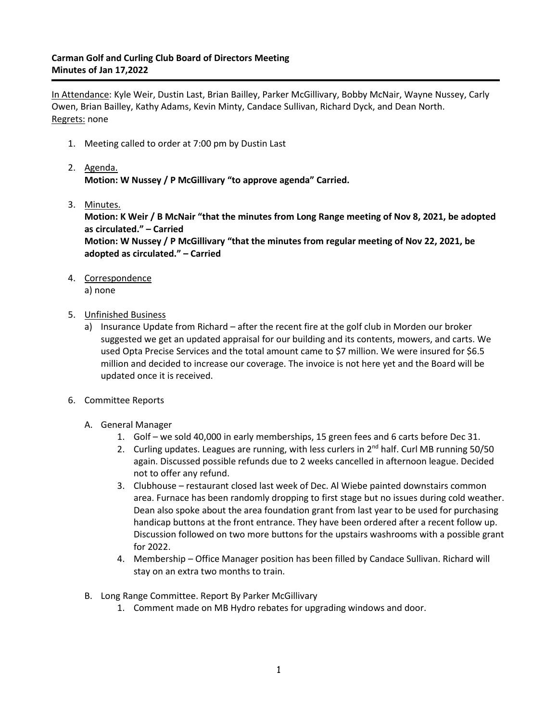## **Carman Golf and Curling Club Board of Directors Meeting Minutes of Jan 17,2022**

In Attendance: Kyle Weir, Dustin Last, Brian Bailley, Parker McGillivary, Bobby McNair, Wayne Nussey, Carly Owen, Brian Bailley, Kathy Adams, Kevin Minty, Candace Sullivan, Richard Dyck, and Dean North. Regrets: none

- 1. Meeting called to order at 7:00 pm by Dustin Last
- 2. Agenda. **Motion: W Nussey / P McGillivary "to approve agenda" Carried.**
- 3. Minutes.

**Motion: K Weir / B McNair "that the minutes from Long Range meeting of Nov 8, 2021, be adopted as circulated." – Carried**

**Motion: W Nussey / P McGillivary "that the minutes from regular meeting of Nov 22, 2021, be adopted as circulated." – Carried**

4. Correspondence

a) none

- 5. Unfinished Business
	- a) Insurance Update from Richard after the recent fire at the golf club in Morden our broker suggested we get an updated appraisal for our building and its contents, mowers, and carts. We used Opta Precise Services and the total amount came to \$7 million. We were insured for \$6.5 million and decided to increase our coverage. The invoice is not here yet and the Board will be updated once it is received.
- 6. Committee Reports
	- A. General Manager
		- 1. Golf we sold 40,000 in early memberships, 15 green fees and 6 carts before Dec 31.
		- 2. Curling updates. Leagues are running, with less curlers in  $2^{nd}$  half. Curl MB running 50/50 again. Discussed possible refunds due to 2 weeks cancelled in afternoon league. Decided not to offer any refund.
		- 3. Clubhouse restaurant closed last week of Dec. Al Wiebe painted downstairs common area. Furnace has been randomly dropping to first stage but no issues during cold weather. Dean also spoke about the area foundation grant from last year to be used for purchasing handicap buttons at the front entrance. They have been ordered after a recent follow up. Discussion followed on two more buttons for the upstairs washrooms with a possible grant for 2022.
		- 4. Membership Office Manager position has been filled by Candace Sullivan. Richard will stay on an extra two months to train.
	- B. Long Range Committee. Report By Parker McGillivary
		- 1. Comment made on MB Hydro rebates for upgrading windows and door.